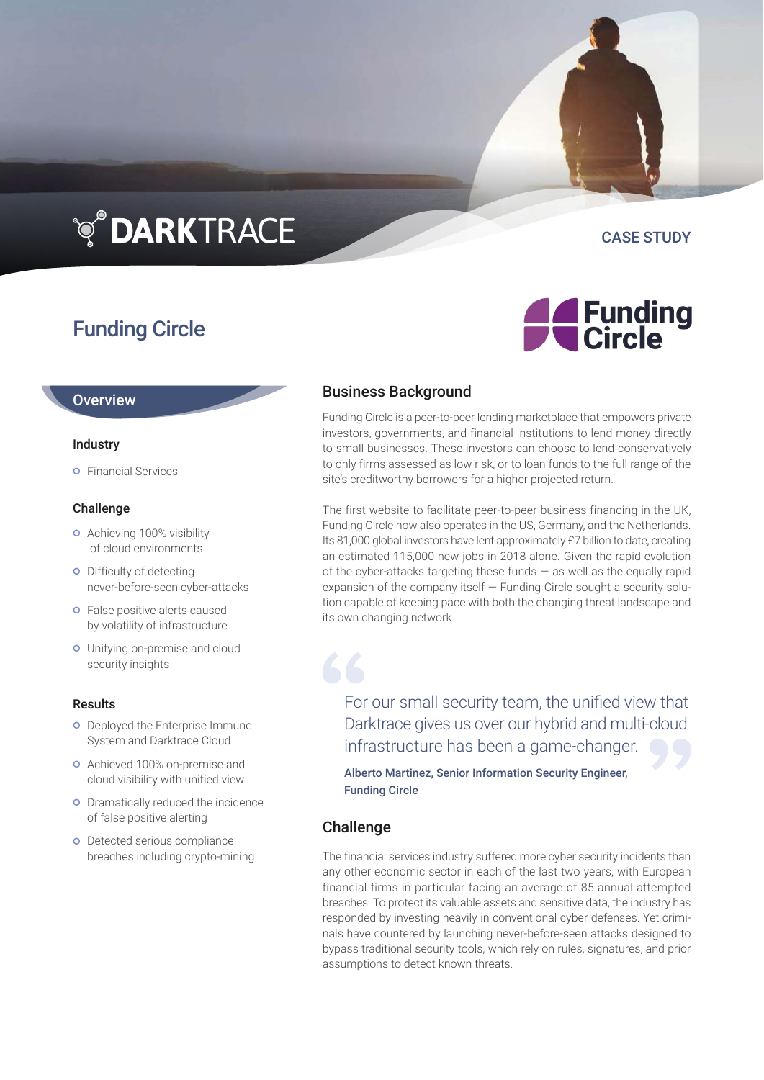## **TO DARKTRACE**

### Funding Circle

### **Overview**

### Industry

**o** Financial Services

### Challenge

- **o** Achieving 100% visibility of cloud environments
- o Difficulty of detecting never-before-seen cyber-attacks
- **o** False positive alerts caused by volatility of infrastructure
- Unifying on-premise and cloud security insights

### Results

- **o** Deployed the Enterprise Immune System and Darktrace Cloud
- Achieved 100% on-premise and cloud visibility with unified view
- **o** Dramatically reduced the incidence of false positive alerting
- **o** Detected serious compliance breaches including crypto-mining

# **A** Funding<br>Circle

CASE STUDY

### Business Background

Funding Circle is a peer-to-peer lending marketplace that empowers private investors, governments, and financial institutions to lend money directly to small businesses. These investors can choose to lend conservatively to only firms assessed as low risk, or to loan funds to the full range of the site's creditworthy borrowers for a higher projected return.

The first website to facilitate peer-to-peer business financing in the UK, Funding Circle now also operates in the US, Germany, and the Netherlands. Its 81,000 global investors have lent approximately £7 billion to date, creating an estimated 115,000 new jobs in 2018 alone. Given the rapid evolution of the cyber-attacks targeting these funds  $-$  as well as the equally rapid expansion of the company itself — Funding Circle sought a security solution capable of keeping pace with both the changing threat landscape and its own changing network.

For our small security team, the unified view that Darktrace gives us over our hybrid and multi-cloud infrastructure has been a game-changer.

Alberto Martinez, Senior Information Security Engineer, Funding Circle

### Challenge

The financial services industry suffered more cyber security incidents than any other economic sector in each of the last two years, with European financial firms in particular facing an average of 85 annual attempted breaches. To protect its valuable assets and sensitive data, the industry has responded by investing heavily in conventional cyber defenses. Yet criminals have countered by launching never-before-seen attacks designed to bypass traditional security tools, which rely on rules, signatures, and prior assumptions to detect known threats.